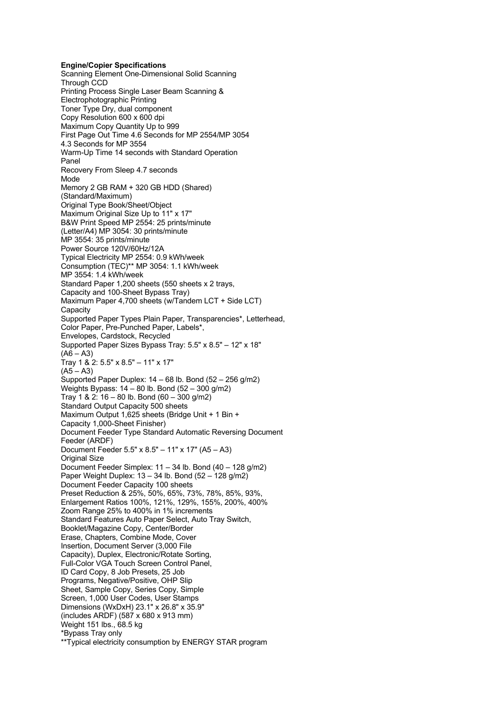**Engine/Copier Specifications** Scanning Element One-Dimensional Solid Scanning Through CCD Printing Process Single Laser Beam Scanning & Electrophotographic Printing Toner Type Dry, dual component Copy Resolution 600 x 600 dpi Maximum Copy Quantity Up to 999 First Page Out Time 4.6 Seconds for MP 2554/MP 3054 4.3 Seconds for MP 3554 Warm-Up Time 14 seconds with Standard Operation Panel Recovery From Sleep 4.7 seconds Mode Memory 2 GB RAM + 320 GB HDD (Shared) (Standard/Maximum) Original Type Book/Sheet/Object Maximum Original Size Up to 11" x 17" B&W Print Speed MP 2554: 25 prints/minute (Letter/A4) MP 3054: 30 prints/minute MP 3554: 35 prints/minute Power Source 120V/60Hz/12A Typical Electricity MP 2554: 0.9 kWh/week Consumption (TEC)\*\* MP 3054: 1.1 kWh/week MP 3554: 1.4 kWh/week Standard Paper 1,200 sheets (550 sheets x 2 trays, Capacity and 100-Sheet Bypass Tray) Maximum Paper 4,700 sheets (w/Tandem LCT + Side LCT) Capacity Supported Paper Types Plain Paper, Transparencies\*, Letterhead, Color Paper, Pre-Punched Paper, Labels\*, Envelopes, Cardstock, Recycled Supported Paper Sizes Bypass Tray: 5.5" x 8.5" – 12" x 18"  $(46 - A3)$ Tray 1 & 2: 5.5" x 8.5" – 11" x 17"  $(A5 - A3)$ Supported Paper Duplex: 14 – 68 lb. Bond (52 – 256 g/m2) Weights Bypass: 14 – 80 lb. Bond (52 – 300 g/m2) Tray 1 & 2: 16 – 80 lb. Bond (60 – 300 g/m2) Standard Output Capacity 500 sheets Maximum Output 1,625 sheets (Bridge Unit + 1 Bin + Capacity 1,000-Sheet Finisher) Document Feeder Type Standard Automatic Reversing Document Feeder (ARDF) Document Feeder 5.5" x 8.5" – 11" x 17" (A5 – A3) Original Size Document Feeder Simplex: 11 – 34 lb. Bond (40 – 128 g/m2) Paper Weight Duplex: 13 – 34 lb. Bond (52 – 128 g/m2) Document Feeder Capacity 100 sheets Preset Reduction & 25%, 50%, 65%, 73%, 78%, 85%, 93%, Enlargement Ratios 100%, 121%, 129%, 155%, 200%, 400% Zoom Range 25% to 400% in 1% increments Standard Features Auto Paper Select, Auto Tray Switch, Booklet/Magazine Copy, Center/Border Erase, Chapters, Combine Mode, Cover Insertion, Document Server (3,000 File Capacity), Duplex, Electronic/Rotate Sorting, Full-Color VGA Touch Screen Control Panel, ID Card Copy, 8 Job Presets, 25 Job Programs, Negative/Positive, OHP Slip Sheet, Sample Copy, Series Copy, Simple Screen, 1,000 User Codes, User Stamps Dimensions (WxDxH) 23.1" x 26.8" x 35.9" (includes ARDF) (587 x 680 x 913 mm) Weight 151 lbs., 68.5 kg \*Bypass Tray only \*\*Typical electricity consumption by ENERGY STAR program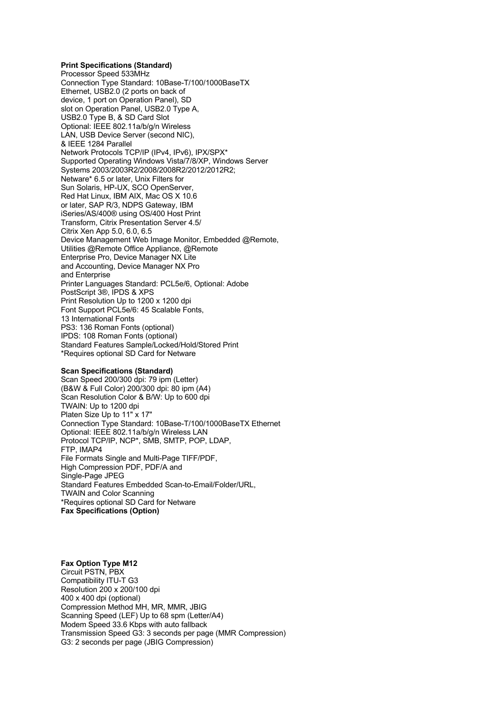## **Print Specifications (Standard)**

Processor Speed 533MHz Connection Type Standard: 10Base-T/100/1000BaseTX Ethernet, USB2.0 (2 ports on back of device, 1 port on Operation Panel), SD slot on Operation Panel, USB2.0 Type A, USB2.0 Type B, & SD Card Slot Optional: IEEE 802.11a/b/g/n Wireless LAN, USB Device Server (second NIC), & IEEE 1284 Parallel Network Protocols TCP/IP (IPv4, IPv6), IPX/SPX\* Supported Operating Windows Vista/7/8/XP, Windows Server Systems 2003/2003R2/2008/2008R2/2012/2012R2; Netware\* 6.5 or later, Unix Filters for Sun Solaris, HP-UX, SCO OpenServer, Red Hat Linux, IBM AIX, Mac OS X 10.6 or later, SAP R/3, NDPS Gateway, IBM iSeries/AS/400® using OS/400 Host Print Transform, Citrix Presentation Server 4.5/ Citrix Xen App 5.0, 6.0, 6.5 Device Management Web Image Monitor, Embedded @Remote, Utilities @Remote Office Appliance, @Remote Enterprise Pro, Device Manager NX Lite and Accounting, Device Manager NX Pro and Enterprise Printer Languages Standard: PCL5e/6, Optional: Adobe PostScript 3®, IPDS & XPS Print Resolution Up to 1200 x 1200 dpi Font Support PCL5e/6: 45 Scalable Fonts, 13 International Fonts PS3: 136 Roman Fonts (optional) IPDS: 108 Roman Fonts (optional) Standard Features Sample/Locked/Hold/Stored Print \*Requires optional SD Card for Netware

## **Scan Specifications (Standard)**

Scan Speed 200/300 dpi: 79 ipm (Letter) (B&W & Full Color) 200/300 dpi: 80 ipm (A4) Scan Resolution Color & B/W: Up to 600 dpi TWAIN: Up to 1200 dpi Platen Size Up to 11" x 17" Connection Type Standard: 10Base-T/100/1000BaseTX Ethernet Optional: IEEE 802.11a/b/g/n Wireless LAN Protocol TCP/IP, NCP\*, SMB, SMTP, POP, LDAP, FTP, IMAP4 File Formats Single and Multi-Page TIFF/PDF, High Compression PDF, PDF/A and Single-Page JPEG Standard Features Embedded Scan-to-Email/Folder/URL, TWAIN and Color Scanning \*Requires optional SD Card for Netware **Fax Specifications (Option)**

## **Fax Option Type M12**

Circuit PSTN, PBX Compatibility ITU-T G3 ResoIution 200 x 200/100 dpi 400 x 400 dpi (optional) Compression Method MH, MR, MMR, JBIG Scanning Speed (LEF) Up to 68 spm (Letter/A4) Modem Speed 33.6 Kbps with auto fallback Transmission Speed G3: 3 seconds per page (MMR Compression) G3: 2 seconds per page (JBIG Compression)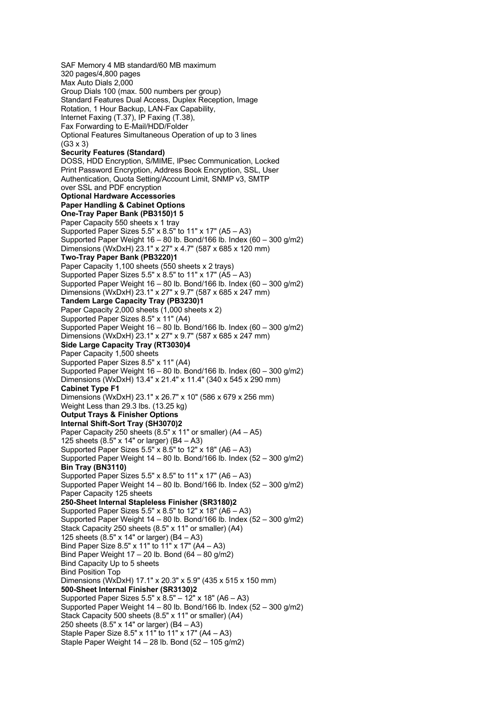SAF Memory 4 MB standard/60 MB maximum 320 pages/4,800 pages Max Auto Dials 2,000 Group Dials 100 (max. 500 numbers per group) Standard Features Dual Access, Duplex Reception, Image Rotation, 1 Hour Backup, LAN-Fax Capability, Internet Faxing (T.37), IP Faxing (T.38), Fax Forwarding to E-Mail/HDD/Folder Optional Features Simultaneous Operation of up to 3 lines  $(G3 \times 3)$ **Security Features (Standard)** DOSS, HDD Encryption, S/MIME, IPsec Communication, Locked Print Password Encryption, Address Book Encryption, SSL, User Authentication, Quota Setting/Account Limit, SNMP v3, SMTP over SSL and PDF encryption **Optional Hardware Accessories Paper Handling & Cabinet Options One-Tray Paper Bank (PB3150)1 5** Paper Capacity 550 sheets x 1 tray Supported Paper Sizes  $5.5" \times 8.5"$  to  $11" \times 17"$  (A5 – A3) Supported Paper Weight 16 – 80 lb. Bond/166 lb. Index (60 – 300 g/m2) Dimensions (WxDxH) 23.1" x 27" x 4.7" (587 x 685 x 120 mm) **Two-Tray Paper Bank (PB3220)1** Paper Capacity 1,100 sheets (550 sheets x 2 trays) Supported Paper Sizes 5.5" x  $8.5$ " to 11" x 17" (A5 – A3) Supported Paper Weight 16 – 80 lb. Bond/166 lb. Index (60 – 300 g/m2) Dimensions (WxDxH) 23.1" x 27" x 9.7" (587 x 685 x 247 mm) **Tandem Large Capacity Tray (PB3230)1** Paper Capacity 2,000 sheets (1,000 sheets x 2) Supported Paper Sizes 8.5" x 11" (A4) Supported Paper Weight  $16 - 80$  lb. Bond/166 lb. Index (60 – 300 g/m2) Dimensions (WxDxH) 23.1" x 27" x 9.7" (587 x 685 x 247 mm) **Side Large Capacity Tray (RT3030)4** Paper Capacity 1,500 sheets Supported Paper Sizes 8.5" x 11" (A4) Supported Paper Weight  $16 - 80$  lb. Bond/166 lb. Index  $(60 - 300 \text{ g/m2})$ Dimensions (WxDxH) 13.4" x 21.4" x 11.4" (340 x 545 x 290 mm) **Cabinet Type F1** Dimensions (WxDxH) 23.1" x 26.7" x 10" (586 x 679 x 256 mm) Weight Less than 29.3 lbs. (13.25 kg) **Output Trays & Finisher Options Internal Shift-Sort Tray (SH3070)2** Paper Capacity 250 sheets (8.5" x 11" or smaller) (A4 – A5) 125 sheets (8.5" x 14" or larger) (B4 – A3) Supported Paper Sizes 5.5" x  $8.5$ " to 12" x 18" (A6 – A3) Supported Paper Weight 14 – 80 lb. Bond/166 lb. Index (52 – 300 g/m2) **Bin Tray (BN3110)** Supported Paper Sizes 5.5" x 8.5" to 11" x 17" (A6  $-$  A3) Supported Paper Weight 14 – 80 lb. Bond/166 lb. Index (52 – 300 g/m2) Paper Capacity 125 sheets **250-Sheet Internal Stapleless Finisher (SR3180)2** Supported Paper Sizes 5.5" x 8.5" to 12" x 18" (A6 – A3) Supported Paper Weight  $14 - 80$  lb. Bond/166 lb. Index  $(52 - 300 \text{ g/m2})$ Stack Capacity 250 sheets (8.5" x 11" or smaller) (A4) 125 sheets (8.5" x 14" or larger) (B4 – A3) Bind Paper Size 8.5" x 11" to 11" x 17" (A4 – A3) Bind Paper Weight  $17 - 20$  lb. Bond  $(64 - 80)$  g/m2) Bind Capacity Up to 5 sheets Bind Position Top Dimensions (WxDxH) 17.1" x 20.3" x 5.9" (435 x 515 x 150 mm) **500-Sheet Internal Finisher (SR3130)2** Supported Paper Sizes 5.5" x  $8.5" - 12"$  x 18" (A6 - A3) Supported Paper Weight 14 – 80 lb. Bond/166 lb. Index (52 – 300 g/m2) Stack Capacity 500 sheets (8.5" x 11" or smaller) (A4) 250 sheets (8.5" x 14" or larger) (B4 – A3) Staple Paper Size 8.5" x  $11$ " to  $11$ " x  $17$ " (A4 – A3) Staple Paper Weight  $14 - 28$  lb. Bond  $(52 - 105 \text{ g/m2})$